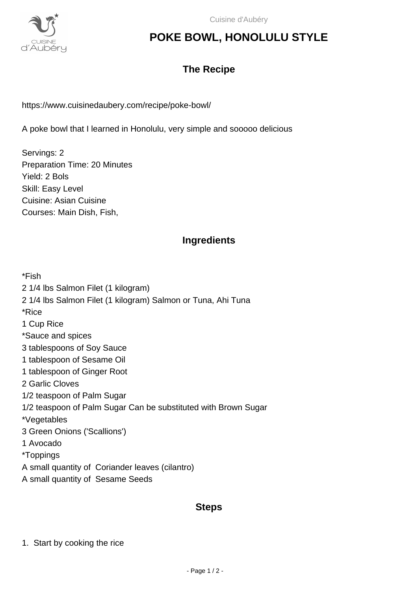

## **POKE BOWL, HONOLULU STYLE**

### **The Recipe**

https://www.cuisinedaubery.com/recipe/poke-bowl/

A poke bowl that I learned in Honolulu, very simple and sooooo delicious

Servings: 2 Preparation Time: 20 Minutes Yield: 2 Bols Skill: Easy Level Cuisine: Asian Cuisine Courses: Main Dish, Fish,

#### **Ingredients**

\*Fish 2 1/4 lbs Salmon Filet (1 kilogram) 2 1/4 lbs Salmon Filet (1 kilogram) Salmon or Tuna, Ahi Tuna \*Rice 1 Cup Rice \*Sauce and spices 3 tablespoons of Soy Sauce 1 tablespoon of Sesame Oil 1 tablespoon of Ginger Root 2 Garlic Cloves 1/2 teaspoon of Palm Sugar 1/2 teaspoon of Palm Sugar Can be substituted with Brown Sugar \*Vegetables 3 Green Onions ('Scallions') 1 Avocado \*Toppings A small quantity of Coriander leaves (cilantro) A small quantity of Sesame Seeds

#### **Steps**

1. Start by cooking the rice